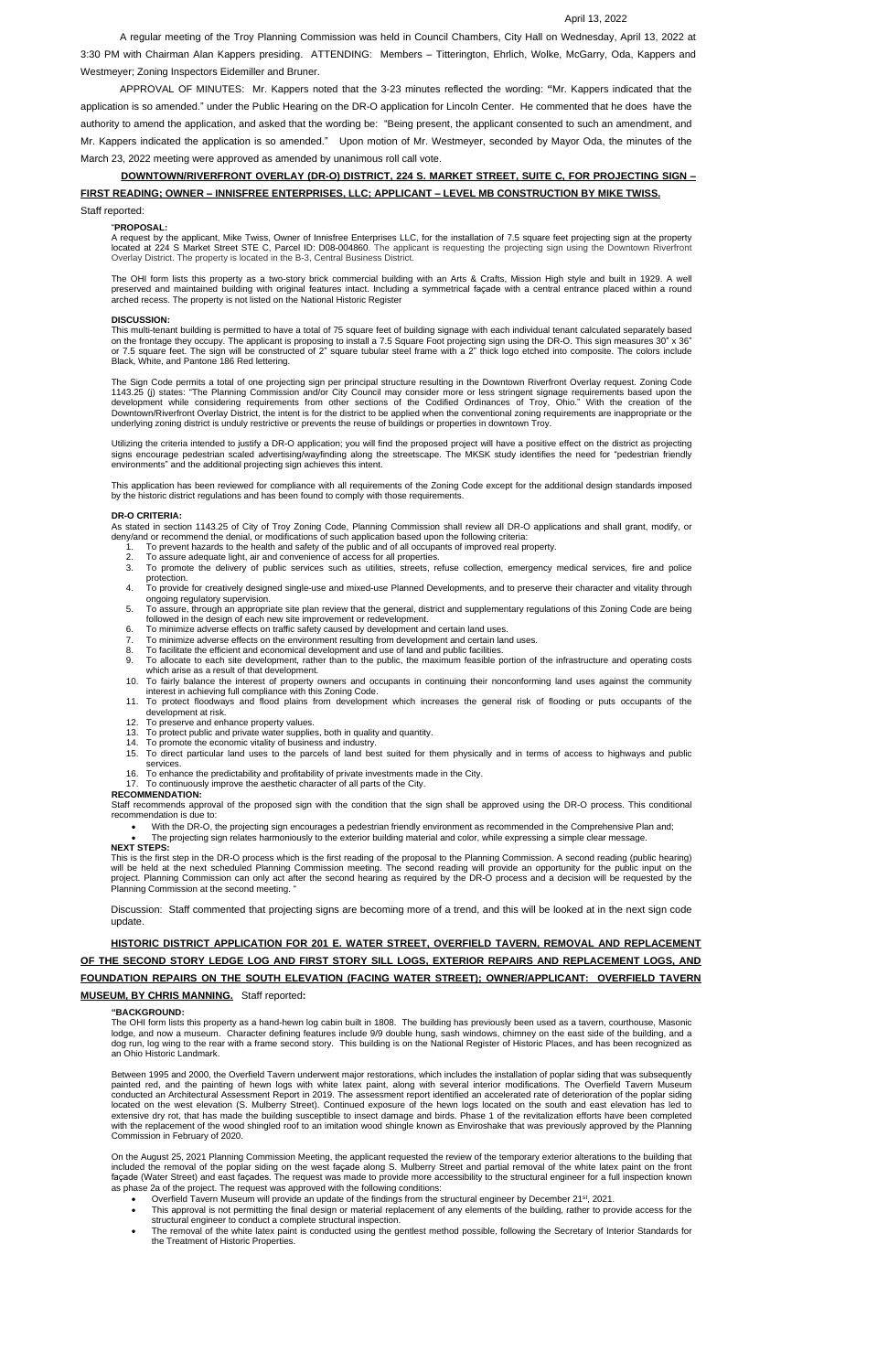### April 13, 2022

A regular meeting of the Troy Planning Commission was held in Council Chambers, City Hall on Wednesday, April 13, 2022 at 3:30 PM with Chairman Alan Kappers presiding. ATTENDING: Members – Titterington, Ehrlich, Wolke, McGarry, Oda, Kappers and Westmeyer; Zoning Inspectors Eidemiller and Bruner.

APPROVAL OF MINUTES: Mr. Kappers noted that the 3-23 minutes reflected the wording: **"**Mr. Kappers indicated that the application is so amended." under the Public Hearing on the DR-O application for Lincoln Center. He commented that he does have the authority to amend the application, and asked that the wording be: "Being present, the applicant consented to such an amendment, and Mr. Kappers indicated the application is so amended." Upon motion of Mr. Westmeyer, seconded by Mayor Oda, the minutes of the March 23, 2022 meeting were approved as amended by unanimous roll call vote.

# **DOWNTOWN/RIVERFRONT OVERLAY (DR-O) DISTRICT, 224 S. MARKET STREET, SUITE C, FOR PROJECTING SIGN – FIRST READING; OWNER – INNISFREE ENTERPRISES, LLC; APPLICANT – LEVEL MB CONSTRUCTION BY MIKE TWISS.**

### Staff reported:

#### "**PROPOSAL:**

A request by the applicant, Mike Twiss, Owner of Innisfree Enterprises LLC, for the installation of 7.5 square feet projecting sign at the property located at 224 S Market Street STE C, Parcel ID: D08-004860. The applicant is requesting the projecting sign using the Downtown Riverfront Overlay District. The property is located in the B-3, Central Business District.

The OHI form lists this property as a two-story brick commercial building with an Arts & Crafts, Mission High style and built in 1929. A well preserved and maintained building with original features intact. Including a symmetrical façade with a central entrance placed within a round arched recess. The property is not listed on the National Historic Register

#### **DISCUSSION:**

This multi-tenant building is permitted to have a total of 75 square feet of building signage with each individual tenant calculated separately based on the frontage they occupy. The applicant is proposing to install a 7.5 Square Foot projecting sign using the DR-O. This sign measures 30" x 36" or 7.5 square feet. The sign will be constructed of 2" square tubular steel frame with a 2" thick logo etched into composite. The colors include Black, White, and Pantone 186 Red lettering.

The Sign Code permits a total of one projecting sign per principal structure resulting in the Downtown Riverfront Overlay request. Zoning Code 1143.25 (j) states: "The Planning Commission and/or City Council may consider more or less stringent signage requirements based upon the development while considering requirements from other sections of the Codified Ordinances of Troy, Ohio." With the creation of the Downtown/Riverfront Overlay District, the intent is for the district to be applied when the conventional zoning requirements are inappropriate or the underlying zoning district is unduly restrictive or prevents the reuse of buildings or properties in downtown Troy.

This is the first step in the DR-O process which is the first reading of the proposal to the Planning Commission. A second reading (public hearing) will be held at the next scheduled Planning Commission meeting. The second reading will provide an opportunity for the public input on the project. Planning Commission can only act after the second hearing as required by the DR-O process and a decision will be requested by the Planning Commission at the second meeting.

Utilizing the criteria intended to justify a DR-O application; you will find the proposed project will have a positive effect on the district as projecting signs encourage pedestrian scaled advertising/wayfinding along the streetscape. The MKSK study identifies the need for "pedestrian friendly environments" and the additional projecting sign achieves this intent.

This application has been reviewed for compliance with all requirements of the Zoning Code except for the additional design standards imposed by the historic district regulations and has been found to comply with those requirements.

#### **DR-O CRITERIA:**

As stated in section 1143.25 of City of Troy Zoning Code, Planning Commission shall review all DR-O applications and shall grant, modify, or deny/and or recommend the denial, or modifications of such application based upon the following criteria:

- Overfield Tavern Museum will provide an update of the findings from the structural engineer by December 21<sup>st</sup>, 2021.
- This approval is not permitting the final design or material replacement of any elements of the building, rather to provide access for the structural engineer to conduct a complete structural inspection.
- The removal of the white latex paint is conducted using the gentlest method possible, following the Secretary of Interior Standards for the Treatment of Historic Properties.
- 1. To prevent hazards to the health and safety of the public and of all occupants of improved real property.
- 2. To assure adequate light, air and convenience of access for all properties.
- 3. To promote the delivery of public services such as utilities, streets, refuse collection, emergency medical services, fire and police protection.
- 4. To provide for creatively designed single-use and mixed-use Planned Developments, and to preserve their character and vitality through ongoing regulatory supervision.
- 5. To assure, through an appropriate site plan review that the general, district and supplementary regulations of this Zoning Code are being followed in the design of each new site improvement or redevelopment.
- 6. To minimize adverse effects on traffic safety caused by development and certain land uses.
- 7. To minimize adverse effects on the environment resulting from development and certain land uses.
- 8. To facilitate the efficient and economical development and use of land and public facilities.
- 9. To allocate to each site development, rather than to the public, the maximum feasible portion of the infrastructure and operating costs which arise as a result of that development.
- 10. To fairly balance the interest of property owners and occupants in continuing their nonconforming land uses against the community interest in achieving full compliance with this Zoning Code.
- 11. To protect floodways and flood plains from development which increases the general risk of flooding or puts occupants of the development at risk.
- 12. To preserve and enhance property values.
- 13. To protect public and private water supplies, both in quality and quantity.
- 14. To promote the economic vitality of business and industry.
- 15. To direct particular land uses to the parcels of land best suited for them physically and in terms of access to highways and public services.
- 16. To enhance the predictability and profitability of private investments made in the City.
- 17. To continuously improve the aesthetic character of all parts of the City.

## **RECOMMENDATION:**

Staff recommends approval of the proposed sign with the condition that the sign shall be approved using the DR-O process. This conditional recommendation is due to:

- With the DR-O, the projecting sign encourages a pedestrian friendly environment as recommended in the Comprehensive Plan and;
- The projecting sign relates harmoniously to the exterior building material and color, while expressing a simple clear message.

### **NEXT STEPS:**

Discussion: Staff commented that projecting signs are becoming more of a trend, and this will be looked at in the next sign code update.

**HISTORIC DISTRICT APPLICATION FOR 201 E. WATER STREET, OVERFIELD TAVERN, REMOVAL AND REPLACEMENT OF THE SECOND STORY LEDGE LOG AND FIRST STORY SILL LOGS, EXTERIOR REPAIRS AND REPLACEMENT LOGS, AND FOUNDATION REPAIRS ON THE SOUTH ELEVATION (FACING WATER STREET); OWNER/APPLICANT: OVERFIELD TAVERN MUSEUM, BY CHRIS MANNING.** Staff reported**:**

### **"BACKGROUND:**

The OHI form lists this property as a hand-hewn log cabin built in 1808. The building has previously been used as a tavern, courthouse, Masonic lodge, and now a museum. Character defining features include 9/9 double hung, sash windows, chimney on the east side of the building, and a dog run, log wing to the rear with a frame second story. This building is on the National Register of Historic Places, and has been recognized as an Ohio Historic Landmark.

Between 1995 and 2000, the Overfield Tavern underwent major restorations, which includes the installation of poplar siding that was subsequently painted red, and the painting of hewn logs with white latex paint, along with several interior modifications. The Overfield Tavern Museum conducted an Architectural Assessment Report in 2019. The assessment report identified an accelerated rate of deterioration of the poplar siding located on the west elevation (S. Mulberry Street). Continued exposure of the hewn logs located on the south and east elevation has led to extensive dry rot, that has made the building susceptible to insect damage and birds. Phase 1 of the revitalization efforts have been completed with the replacement of the wood shingled roof to an imitation wood shingle known as Enviroshake that was previously approved by the Planning Commission in February of 2020.

On the August 25, 2021 Planning Commission Meeting, the applicant requested the review of the temporary exterior alterations to the building that included the removal of the poplar siding on the west façade along S. Mulberry Street and partial removal of the white latex paint on the front façade (Water Street) and east façades. The request was made to provide more accessibility to the structural engineer for a full inspection known as phase 2a of the project. The request was approved with the following conditions: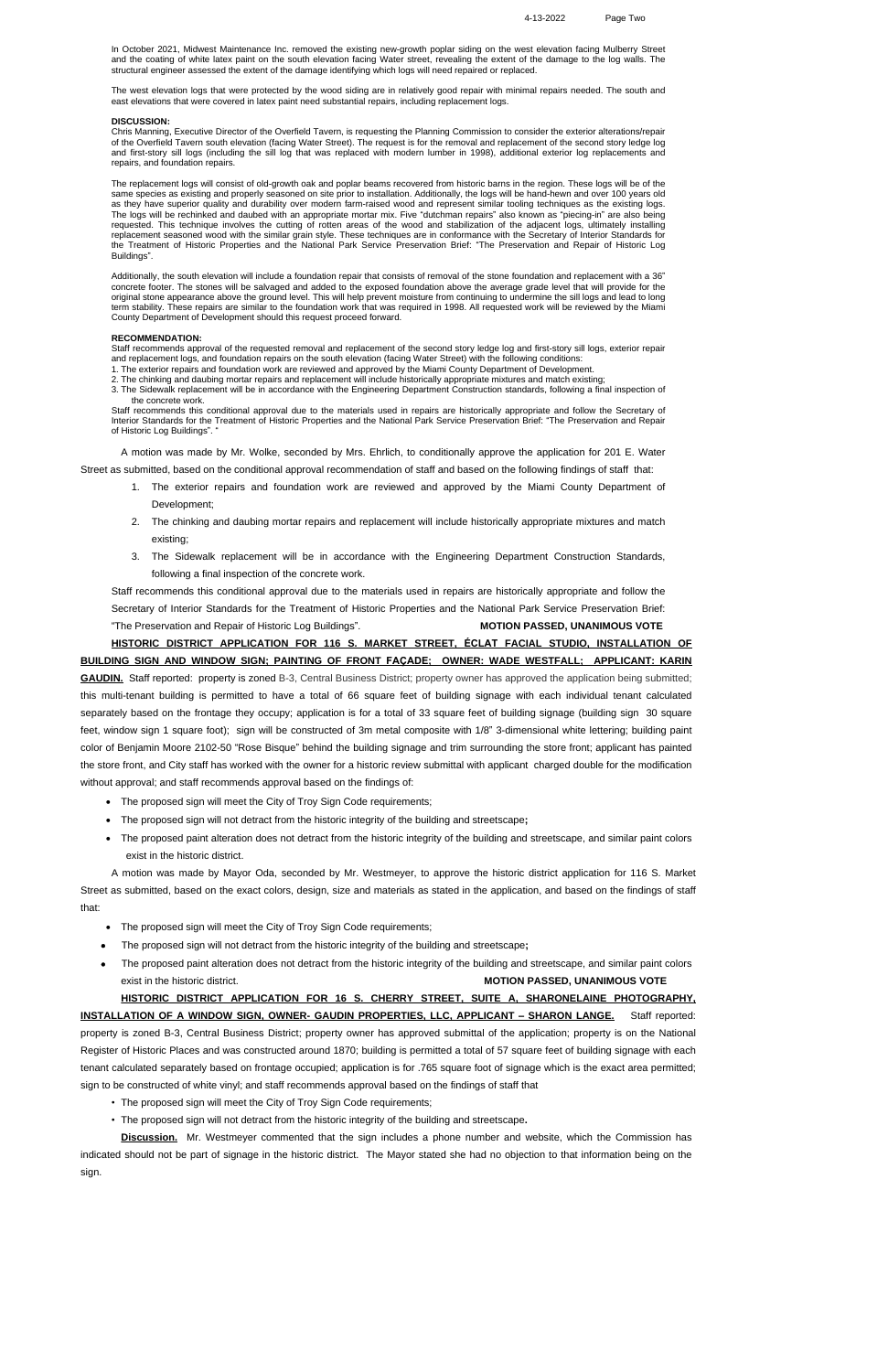4-13-2022 Page Two

In October 2021, Midwest Maintenance Inc. removed the existing new-growth poplar siding on the west elevation facing Mulberry Street and the coating of white latex paint on the south elevation facing Water street, revealing the extent of the damage to the log walls. The structural engineer assessed the extent of the damage identifying which logs will need repaired or replaced.

The west elevation logs that were protected by the wood siding are in relatively good repair with minimal repairs needed. The south and east elevations that were covered in latex paint need substantial repairs, including replacement logs.

### **DISCUSSION:**

Chris Manning, Executive Director of the Overfield Tavern, is requesting the Planning Commission to consider the exterior alterations/repair of the Overfield Tavern south elevation (facing Water Street). The request is for the removal and replacement of the second story ledge log and first-story sill logs (including the sill log that was replaced with modern lumber in 1998), additional exterior log replacements and repairs, and foundation repairs.

The replacement logs will consist of old-growth oak and poplar beams recovered from historic barns in the region. These logs will be of the same species as existing and properly seasoned on site prior to installation. Additionally, the logs will be hand-hewn and over 100 years old as they have superior quality and durability over modern farm-raised wood and represent similar tooling techniques as the existing logs. The logs will be rechinked and daubed with an appropriate mortar mix. Five "dutchman repairs" also known as "piecing-in" are also being requested. This technique involves the cutting of rotten areas of the wood and stabilization of the adjacent logs, ultimately installing replacement seasoned wood with the similar grain style. These techniques are in conformance with the Secretary of Interior Standards for the Treatment of Historic Properties and the National Park Service Preservation Brief: "The Preservation and Repair of Historic Log Buildings".

Staff recommends this conditional approval due to the materials used in repairs are historically appropriate and follow the Secretary of Interior Standards for the Treatment of Historic Properties and the National Park Service Preservation Brief: "The Preservation and Repair of Historic Log Buildings".

Additionally, the south elevation will include a foundation repair that consists of removal of the stone foundation and replacement with a 36" concrete footer. The stones will be salvaged and added to the exposed foundation above the average grade level that will provide for the original stone appearance above the ground level. This will help prevent moisture from continuing to undermine the sill logs and lead to long term stability. These repairs are similar to the foundation work that was required in 1998. All requested work will be reviewed by the Miami County Department of Development should this request proceed forward.

#### **RECOMMENDATION:**

Staff recommends approval of the requested removal and replacement of the second story ledge log and first-story sill logs, exterior repair and replacement logs, and foundation repairs on the south elevation (facing Water Street) with the following conditions:

- 1. The exterior repairs and foundation work are reviewed and approved by the Miami County Department of Development.
- 2. The chinking and daubing mortar repairs and replacement will include historically appropriate mixtures and match existing;

3. The Sidewalk replacement will be in accordance with the Engineering Department Construction standards, following a final inspection of the concrete work.

A motion was made by Mr. Wolke, seconded by Mrs. Ehrlich, to conditionally approve the application for 201 E. Water Street as submitted, based on the conditional approval recommendation of staff and based on the following findings of staff that:

- 1. The exterior repairs and foundation work are reviewed and approved by the Miami County Department of Development;
- 2. The chinking and daubing mortar repairs and replacement will include historically appropriate mixtures and match existing;
- 3. The Sidewalk replacement will be in accordance with the Engineering Department Construction Standards, following a final inspection of the concrete work.

Staff recommends this conditional approval due to the materials used in repairs are historically appropriate and follow the Secretary of Interior Standards for the Treatment of Historic Properties and the National Park Service Preservation Brief: "The Preservation and Repair of Historic Log Buildings". **MOTION PASSED, UNANIMOUS VOTE**

**HISTORIC DISTRICT APPLICATION FOR 116 S. MARKET STREET, ÉCLAT FACIAL STUDIO, INSTALLATION OF BUILDING SIGN AND WINDOW SIGN; PAINTING OF FRONT FAÇADE; OWNER: WADE WESTFALL; APPLICANT: KARIN GAUDIN.** Staff reported: property is zoned B-3, Central Business District; property owner has approved the application being submitted; this multi-tenant building is permitted to have a total of 66 square feet of building signage with each individual tenant calculated separately based on the frontage they occupy; application is for a total of 33 square feet of building signage (building sign 30 square feet, window sign 1 square foot); sign will be constructed of 3m metal composite with 1/8" 3-dimensional white lettering; building paint color of Benjamin Moore 2102-50 "Rose Bisque" behind the building signage and trim surrounding the store front; applicant has painted the store front, and City staff has worked with the owner for a historic review submittal with applicant charged double for the modification without approval; and staff recommends approval based on the findings of:

- The proposed sign will meet the City of Troy Sign Code requirements;
- The proposed sign will not detract from the historic integrity of the building and streetscape**;**
- The proposed paint alteration does not detract from the historic integrity of the building and streetscape, and similar paint colors exist in the historic district.

A motion was made by Mayor Oda, seconded by Mr. Westmeyer, to approve the historic district application for 116 S. Market Street as submitted, based on the exact colors, design, size and materials as stated in the application, and based on the findings of staff that:

- The proposed sign will meet the City of Troy Sign Code requirements;
- The proposed sign will not detract from the historic integrity of the building and streetscape**;**
- The proposed paint alteration does not detract from the historic integrity of the building and streetscape, and similar paint colors exist in the historic district. **MOTION PASSED, UNANIMOUS VOTE HISTORIC DISTRICT APPLICATION FOR 16 S. CHERRY STREET, SUITE A, SHARONELAINE PHOTOGRAPHY,**

**INSTALLATION OF A WINDOW SIGN, OWNER- GAUDIN PROPERTIES, LLC, APPLICANT – SHARON LANGE.** Staff reported: property is zoned B-3, Central Business District; property owner has approved submittal of the application; property is on the National Register of Historic Places and was constructed around 1870; building is permitted a total of 57 square feet of building signage with each tenant calculated separately based on frontage occupied; application is for .765 square foot of signage which is the exact area permitted; sign to be constructed of white vinyl; and staff recommends approval based on the findings of staff that

- The proposed sign will meet the City of Troy Sign Code requirements;
- The proposed sign will not detract from the historic integrity of the building and streetscape**.**

**Discussion.** Mr. Westmeyer commented that the sign includes a phone number and website, which the Commission has indicated should not be part of signage in the historic district. The Mayor stated she had no objection to that information being on the sign.